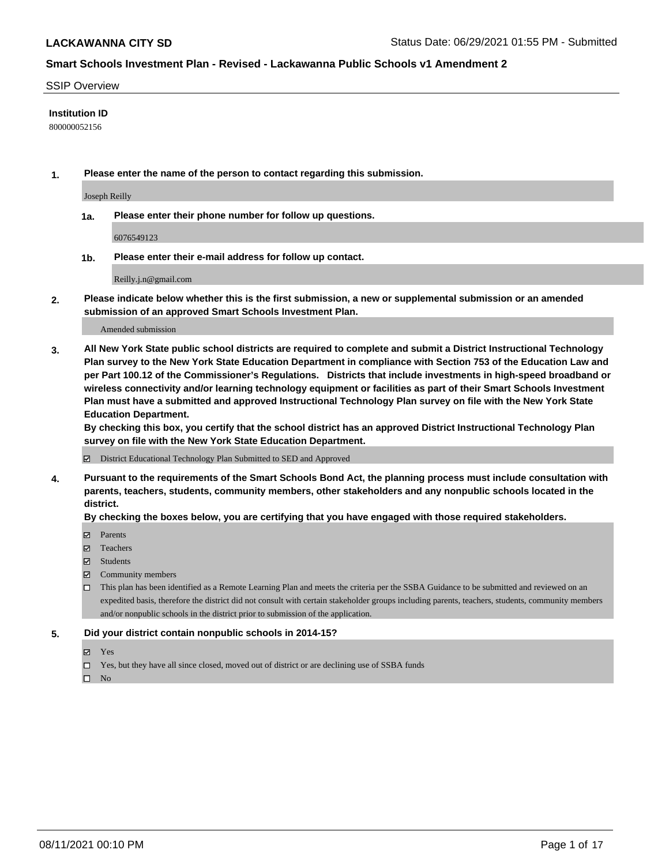#### SSIP Overview

#### **Institution ID**

800000052156

**1. Please enter the name of the person to contact regarding this submission.**

Joseph Reilly

**1a. Please enter their phone number for follow up questions.**

6076549123

**1b. Please enter their e-mail address for follow up contact.**

Reilly.j.n@gmail.com

**2. Please indicate below whether this is the first submission, a new or supplemental submission or an amended submission of an approved Smart Schools Investment Plan.**

#### Amended submission

**3. All New York State public school districts are required to complete and submit a District Instructional Technology Plan survey to the New York State Education Department in compliance with Section 753 of the Education Law and per Part 100.12 of the Commissioner's Regulations. Districts that include investments in high-speed broadband or wireless connectivity and/or learning technology equipment or facilities as part of their Smart Schools Investment Plan must have a submitted and approved Instructional Technology Plan survey on file with the New York State Education Department.** 

**By checking this box, you certify that the school district has an approved District Instructional Technology Plan survey on file with the New York State Education Department.**

District Educational Technology Plan Submitted to SED and Approved

**4. Pursuant to the requirements of the Smart Schools Bond Act, the planning process must include consultation with parents, teachers, students, community members, other stakeholders and any nonpublic schools located in the district.** 

#### **By checking the boxes below, you are certifying that you have engaged with those required stakeholders.**

- **Parents**
- Teachers
- Students
- $\boxtimes$  Community members
- This plan has been identified as a Remote Learning Plan and meets the criteria per the SSBA Guidance to be submitted and reviewed on an expedited basis, therefore the district did not consult with certain stakeholder groups including parents, teachers, students, community members and/or nonpublic schools in the district prior to submission of the application.
- **5. Did your district contain nonpublic schools in 2014-15?**
	- Yes
	- □ Yes, but they have all since closed, moved out of district or are declining use of SSBA funds

 $\hfill \square$  No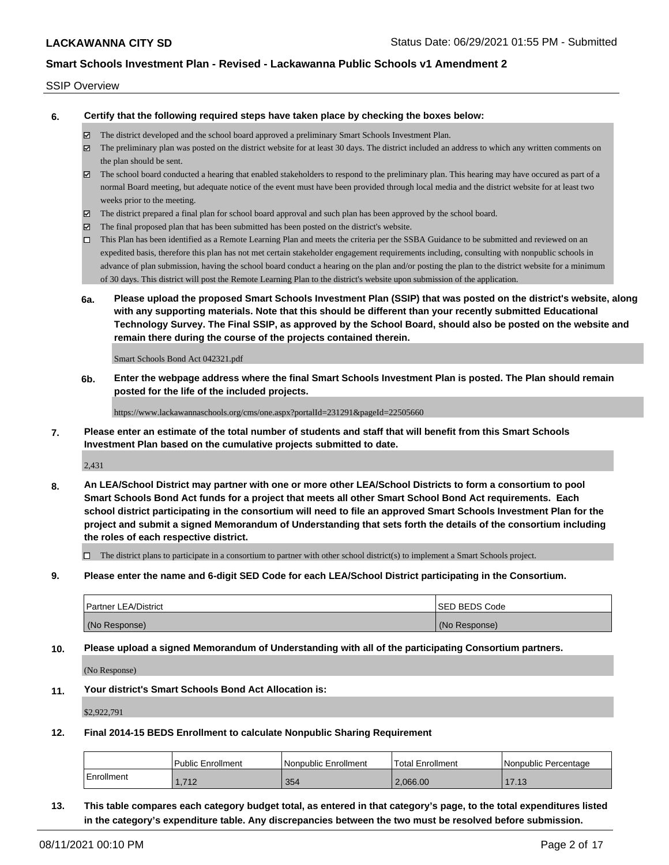#### SSIP Overview

**6. Certify that the following required steps have taken place by checking the boxes below:**

- The district developed and the school board approved a preliminary Smart Schools Investment Plan.
- The preliminary plan was posted on the district website for at least 30 days. The district included an address to which any written comments on the plan should be sent.
- $\boxtimes$  The school board conducted a hearing that enabled stakeholders to respond to the preliminary plan. This hearing may have occured as part of a normal Board meeting, but adequate notice of the event must have been provided through local media and the district website for at least two weeks prior to the meeting.
- The district prepared a final plan for school board approval and such plan has been approved by the school board.
- $\boxtimes$  The final proposed plan that has been submitted has been posted on the district's website.
- This Plan has been identified as a Remote Learning Plan and meets the criteria per the SSBA Guidance to be submitted and reviewed on an expedited basis, therefore this plan has not met certain stakeholder engagement requirements including, consulting with nonpublic schools in advance of plan submission, having the school board conduct a hearing on the plan and/or posting the plan to the district website for a minimum of 30 days. This district will post the Remote Learning Plan to the district's website upon submission of the application.
- **6a. Please upload the proposed Smart Schools Investment Plan (SSIP) that was posted on the district's website, along with any supporting materials. Note that this should be different than your recently submitted Educational Technology Survey. The Final SSIP, as approved by the School Board, should also be posted on the website and remain there during the course of the projects contained therein.**

Smart Schools Bond Act 042321.pdf

**6b. Enter the webpage address where the final Smart Schools Investment Plan is posted. The Plan should remain posted for the life of the included projects.**

https://www.lackawannaschools.org/cms/one.aspx?portalId=231291&pageId=22505660

**7. Please enter an estimate of the total number of students and staff that will benefit from this Smart Schools Investment Plan based on the cumulative projects submitted to date.**

2,431

**8. An LEA/School District may partner with one or more other LEA/School Districts to form a consortium to pool Smart Schools Bond Act funds for a project that meets all other Smart School Bond Act requirements. Each school district participating in the consortium will need to file an approved Smart Schools Investment Plan for the project and submit a signed Memorandum of Understanding that sets forth the details of the consortium including the roles of each respective district.**

 $\Box$  The district plans to participate in a consortium to partner with other school district(s) to implement a Smart Schools project.

**9. Please enter the name and 6-digit SED Code for each LEA/School District participating in the Consortium.**

| <b>Partner LEA/District</b> | <b>ISED BEDS Code</b> |
|-----------------------------|-----------------------|
| (No Response)               | (No Response)         |

**10. Please upload a signed Memorandum of Understanding with all of the participating Consortium partners.**

(No Response)

**11. Your district's Smart Schools Bond Act Allocation is:**

\$2,922,791

**12. Final 2014-15 BEDS Enrollment to calculate Nonpublic Sharing Requirement**

|            | <b>Public Enrollment</b> | l Nonpublic Enrollment | Total Enrollment | l Nonpublic Percentage |
|------------|--------------------------|------------------------|------------------|------------------------|
| Enrollment | 712                      | 354                    | 2.066.00         | 1710<br>ن ا .          |

**13. This table compares each category budget total, as entered in that category's page, to the total expenditures listed in the category's expenditure table. Any discrepancies between the two must be resolved before submission.**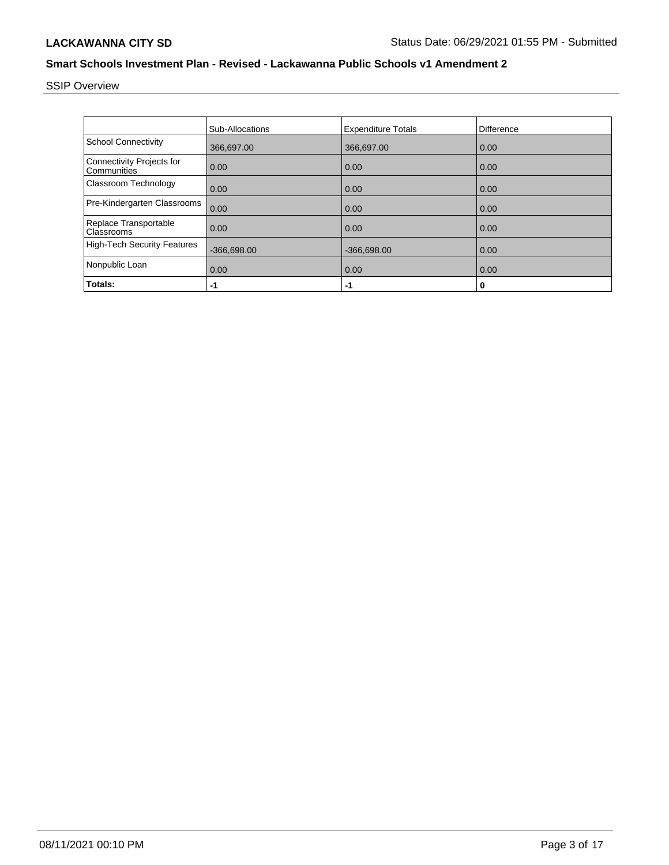SSIP Overview

|                                                 | <b>Sub-Allocations</b> | <b>Expenditure Totals</b> | Difference |
|-------------------------------------------------|------------------------|---------------------------|------------|
| <b>School Connectivity</b>                      | 366,697.00             | 366,697.00                | 0.00       |
| <b>Connectivity Projects for</b><br>Communities | 0.00                   | 0.00                      | 0.00       |
| Classroom Technology                            | 0.00                   | 0.00                      | 0.00       |
| Pre-Kindergarten Classrooms                     | 0.00                   | 0.00                      | 0.00       |
| Replace Transportable<br>Classrooms             | 0.00                   | 0.00                      | 0.00       |
| <b>High-Tech Security Features</b>              | $-366,698.00$          | $-366,698.00$             | 0.00       |
| Nonpublic Loan                                  | 0.00                   | 0.00                      | 0.00       |
| Totals:                                         | $-1$                   | -1                        | 0          |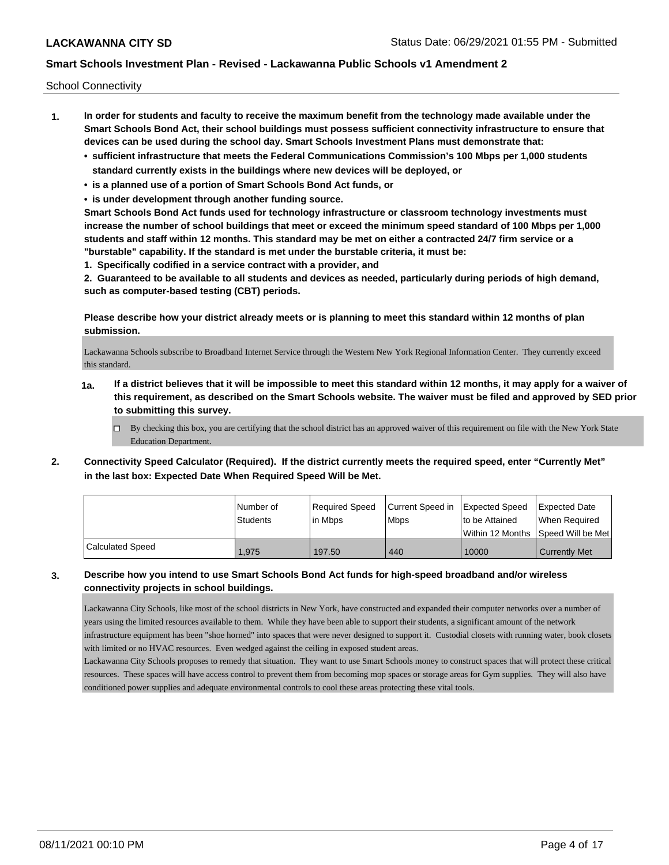School Connectivity

- **1. In order for students and faculty to receive the maximum benefit from the technology made available under the Smart Schools Bond Act, their school buildings must possess sufficient connectivity infrastructure to ensure that devices can be used during the school day. Smart Schools Investment Plans must demonstrate that:**
	- **• sufficient infrastructure that meets the Federal Communications Commission's 100 Mbps per 1,000 students standard currently exists in the buildings where new devices will be deployed, or**
	- **• is a planned use of a portion of Smart Schools Bond Act funds, or**
	- **• is under development through another funding source.**

**Smart Schools Bond Act funds used for technology infrastructure or classroom technology investments must increase the number of school buildings that meet or exceed the minimum speed standard of 100 Mbps per 1,000 students and staff within 12 months. This standard may be met on either a contracted 24/7 firm service or a "burstable" capability. If the standard is met under the burstable criteria, it must be:**

**1. Specifically codified in a service contract with a provider, and**

**2. Guaranteed to be available to all students and devices as needed, particularly during periods of high demand, such as computer-based testing (CBT) periods.**

**Please describe how your district already meets or is planning to meet this standard within 12 months of plan submission.**

Lackawanna Schools subscribe to Broadband Internet Service through the Western New York Regional Information Center. They currently exceed this standard.

- **1a. If a district believes that it will be impossible to meet this standard within 12 months, it may apply for a waiver of this requirement, as described on the Smart Schools website. The waiver must be filed and approved by SED prior to submitting this survey.**
	- $\Box$  By checking this box, you are certifying that the school district has an approved waiver of this requirement on file with the New York State Education Department.
- **2. Connectivity Speed Calculator (Required). If the district currently meets the required speed, enter "Currently Met" in the last box: Expected Date When Required Speed Will be Met.**

|                  | l Number of<br><b>Students</b> | Required Speed<br>lin Mbps | Current Speed in Expected Speed<br><b>Mbps</b> | Ito be Attained | <b>Expected Date</b><br>When Required   |
|------------------|--------------------------------|----------------------------|------------------------------------------------|-----------------|-----------------------------------------|
|                  |                                |                            |                                                |                 | l Within 12 Months ISpeed Will be Met l |
| Calculated Speed | 1,975                          | 197.50                     | 440                                            | 10000           | <b>Currently Met</b>                    |

### **3. Describe how you intend to use Smart Schools Bond Act funds for high-speed broadband and/or wireless connectivity projects in school buildings.**

Lackawanna City Schools, like most of the school districts in New York, have constructed and expanded their computer networks over a number of years using the limited resources available to them. While they have been able to support their students, a significant amount of the network infrastructure equipment has been "shoe horned" into spaces that were never designed to support it. Custodial closets with running water, book closets with limited or no HVAC resources. Even wedged against the ceiling in exposed student areas.

Lackawanna City Schools proposes to remedy that situation. They want to use Smart Schools money to construct spaces that will protect these critical resources. These spaces will have access control to prevent them from becoming mop spaces or storage areas for Gym supplies. They will also have conditioned power supplies and adequate environmental controls to cool these areas protecting these vital tools.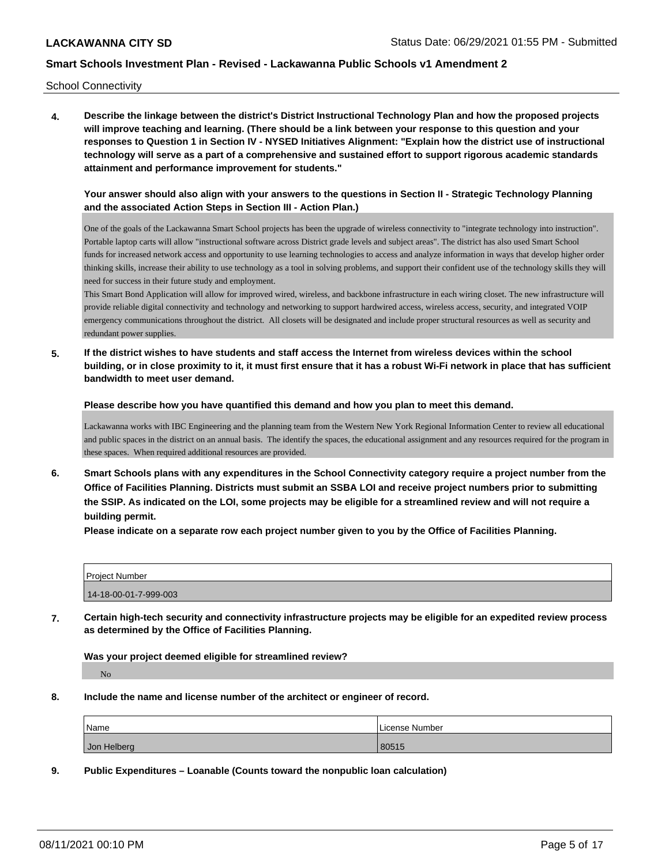School Connectivity

**4. Describe the linkage between the district's District Instructional Technology Plan and how the proposed projects will improve teaching and learning. (There should be a link between your response to this question and your responses to Question 1 in Section IV - NYSED Initiatives Alignment: "Explain how the district use of instructional technology will serve as a part of a comprehensive and sustained effort to support rigorous academic standards attainment and performance improvement for students."** 

**Your answer should also align with your answers to the questions in Section II - Strategic Technology Planning and the associated Action Steps in Section III - Action Plan.)**

One of the goals of the Lackawanna Smart School projects has been the upgrade of wireless connectivity to "integrate technology into instruction". Portable laptop carts will allow "instructional software across District grade levels and subject areas". The district has also used Smart School funds for increased network access and opportunity to use learning technologies to access and analyze information in ways that develop higher order thinking skills, increase their ability to use technology as a tool in solving problems, and support their confident use of the technology skills they will need for success in their future study and employment.

This Smart Bond Application will allow for improved wired, wireless, and backbone infrastructure in each wiring closet. The new infrastructure will provide reliable digital connectivity and technology and networking to support hardwired access, wireless access, security, and integrated VOIP emergency communications throughout the district. All closets will be designated and include proper structural resources as well as security and redundant power supplies.

**5. If the district wishes to have students and staff access the Internet from wireless devices within the school building, or in close proximity to it, it must first ensure that it has a robust Wi-Fi network in place that has sufficient bandwidth to meet user demand.**

**Please describe how you have quantified this demand and how you plan to meet this demand.**

Lackawanna works with IBC Engineering and the planning team from the Western New York Regional Information Center to review all educational and public spaces in the district on an annual basis. The identify the spaces, the educational assignment and any resources required for the program in these spaces. When required additional resources are provided.

**6. Smart Schools plans with any expenditures in the School Connectivity category require a project number from the Office of Facilities Planning. Districts must submit an SSBA LOI and receive project numbers prior to submitting the SSIP. As indicated on the LOI, some projects may be eligible for a streamlined review and will not require a building permit.**

**Please indicate on a separate row each project number given to you by the Office of Facilities Planning.**

| <b>Project Number</b> |  |
|-----------------------|--|
| 14-18-00-01-7-999-003 |  |

**7. Certain high-tech security and connectivity infrastructure projects may be eligible for an expedited review process as determined by the Office of Facilities Planning.**

**Was your project deemed eligible for streamlined review?**

No

**8. Include the name and license number of the architect or engineer of record.**

| Name        | License Number |
|-------------|----------------|
| Jon Helberg | 80515          |

**9. Public Expenditures – Loanable (Counts toward the nonpublic loan calculation)**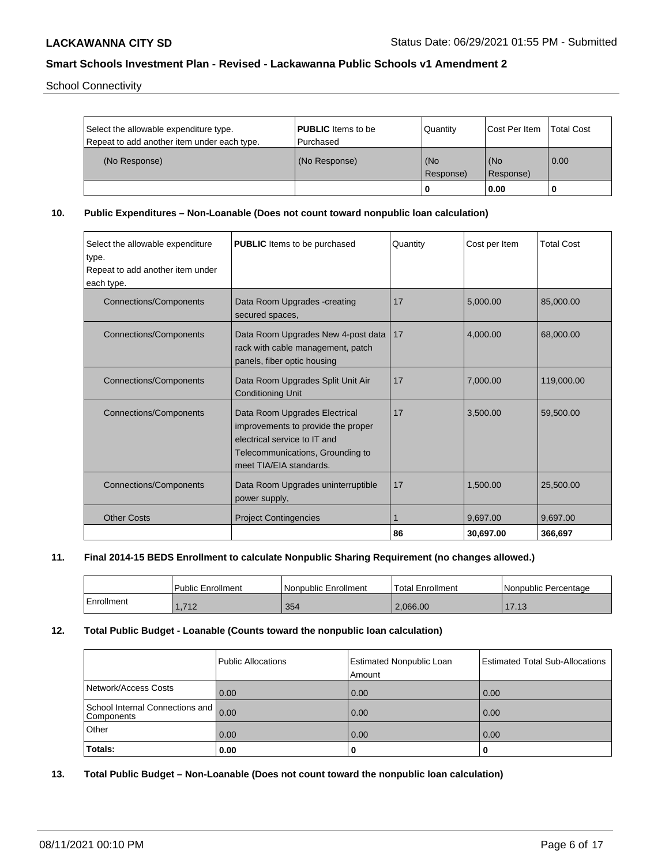School Connectivity

| Select the allowable expenditure type.<br>Repeat to add another item under each type. | <b>PUBLIC</b> Items to be<br>l Purchased | Quantity         | <b>ICost Per Item</b> | <b>Total Cost</b> |
|---------------------------------------------------------------------------------------|------------------------------------------|------------------|-----------------------|-------------------|
| (No Response)                                                                         | (No Response)                            | (No<br>Response) | l (No<br>Response)    | 0.00              |
|                                                                                       |                                          | 0                | 0.00                  |                   |

**10. Public Expenditures – Non-Loanable (Does not count toward nonpublic loan calculation)**

| Select the allowable expenditure<br>type.<br>Repeat to add another item under<br>each type. | <b>PUBLIC</b> Items to be purchased                                                                                                                                | Quantity | Cost per Item | <b>Total Cost</b> |
|---------------------------------------------------------------------------------------------|--------------------------------------------------------------------------------------------------------------------------------------------------------------------|----------|---------------|-------------------|
| <b>Connections/Components</b>                                                               | Data Room Upgrades -creating<br>secured spaces,                                                                                                                    | 17       | 5.000.00      | 85,000.00         |
| <b>Connections/Components</b>                                                               | Data Room Upgrades New 4-post data<br>rack with cable management, patch<br>panels, fiber optic housing                                                             | 17       | 4,000.00      | 68,000.00         |
| <b>Connections/Components</b>                                                               | Data Room Upgrades Split Unit Air<br><b>Conditioning Unit</b>                                                                                                      | 17       | 7,000.00      | 119,000.00        |
| <b>Connections/Components</b>                                                               | Data Room Upgrades Electrical<br>improvements to provide the proper<br>electrical service to IT and<br>Telecommunications, Grounding to<br>meet TIA/EIA standards. | 17       | 3,500.00      | 59,500.00         |
| <b>Connections/Components</b>                                                               | Data Room Upgrades uninterruptible<br>power supply,                                                                                                                | 17       | 1,500.00      | 25,500.00         |
| <b>Other Costs</b>                                                                          | <b>Project Contingencies</b>                                                                                                                                       |          | 9.697.00      | 9.697.00          |
|                                                                                             |                                                                                                                                                                    | 86       | 30,697.00     | 366,697           |

### **11. Final 2014-15 BEDS Enrollment to calculate Nonpublic Sharing Requirement (no changes allowed.)**

|            | <b>Public Enrollment</b> | l Nonpublic Enrollment | Total Enrollment | Nonpublic Percentage |
|------------|--------------------------|------------------------|------------------|----------------------|
| Enrollment | 1,712                    | 354                    | 2.066.00         | 1712<br>. 0          |

### **12. Total Public Budget - Loanable (Counts toward the nonpublic loan calculation)**

|                                                    | Public Allocations | <b>Estimated Nonpublic Loan</b><br>Amount | <b>Estimated Total Sub-Allocations</b> |
|----------------------------------------------------|--------------------|-------------------------------------------|----------------------------------------|
| Network/Access Costs                               | 0.00               | 0.00                                      | 0.00                                   |
| School Internal Connections and 0.00<br>Components |                    | 0.00                                      | 0.00                                   |
| Other                                              | 0.00               | 0.00                                      | 0.00                                   |
| Totals:                                            | 0.00               | 0                                         |                                        |

**13. Total Public Budget – Non-Loanable (Does not count toward the nonpublic loan calculation)**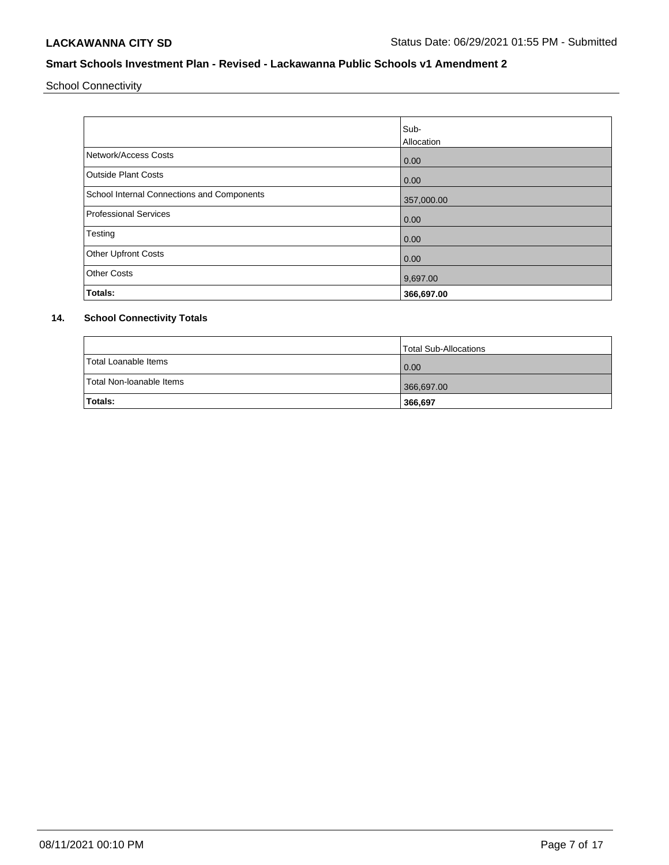School Connectivity

|                                            | Sub-<br>Allocation |
|--------------------------------------------|--------------------|
| Network/Access Costs                       | 0.00               |
| <b>Outside Plant Costs</b>                 | 0.00               |
| School Internal Connections and Components | 357,000.00         |
| <b>Professional Services</b>               | 0.00               |
| Testing                                    | 0.00               |
| <b>Other Upfront Costs</b>                 | 0.00               |
| <b>Other Costs</b>                         | 9,697.00           |
| Totals:                                    | 366,697.00         |

# **14. School Connectivity Totals**

|                          | Total Sub-Allocations |
|--------------------------|-----------------------|
| Total Loanable Items     | 0.00                  |
| Total Non-Ioanable Items | 366,697.00            |
| <b>Totals:</b>           | 366,697               |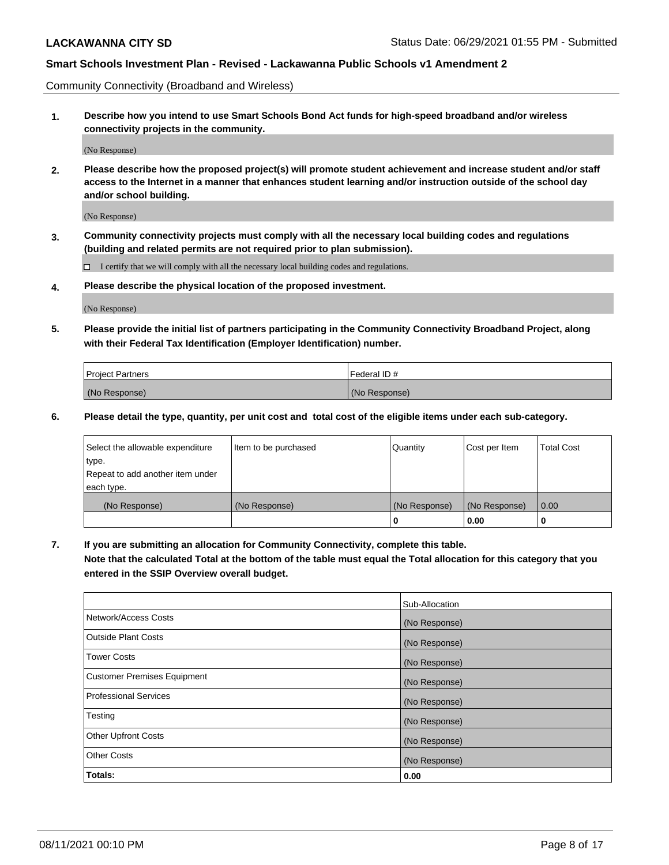Community Connectivity (Broadband and Wireless)

**1. Describe how you intend to use Smart Schools Bond Act funds for high-speed broadband and/or wireless connectivity projects in the community.**

(No Response)

**2. Please describe how the proposed project(s) will promote student achievement and increase student and/or staff access to the Internet in a manner that enhances student learning and/or instruction outside of the school day and/or school building.**

(No Response)

**3. Community connectivity projects must comply with all the necessary local building codes and regulations (building and related permits are not required prior to plan submission).**

 $\Box$  I certify that we will comply with all the necessary local building codes and regulations.

**4. Please describe the physical location of the proposed investment.**

(No Response)

**5. Please provide the initial list of partners participating in the Community Connectivity Broadband Project, along with their Federal Tax Identification (Employer Identification) number.**

| <b>Project Partners</b> | l Federal ID # |
|-------------------------|----------------|
| (No Response)           | (No Response)  |

**6. Please detail the type, quantity, per unit cost and total cost of the eligible items under each sub-category.**

| Select the allowable expenditure | Item to be purchased | Quantity      | Cost per Item | <b>Total Cost</b> |
|----------------------------------|----------------------|---------------|---------------|-------------------|
| type.                            |                      |               |               |                   |
| Repeat to add another item under |                      |               |               |                   |
| each type.                       |                      |               |               |                   |
| (No Response)                    | (No Response)        | (No Response) | (No Response) | 0.00              |
|                                  |                      | U             | 0.00          | -0                |

**7. If you are submitting an allocation for Community Connectivity, complete this table.**

**Note that the calculated Total at the bottom of the table must equal the Total allocation for this category that you entered in the SSIP Overview overall budget.**

|                                    | Sub-Allocation |
|------------------------------------|----------------|
| Network/Access Costs               | (No Response)  |
| Outside Plant Costs                | (No Response)  |
| <b>Tower Costs</b>                 | (No Response)  |
| <b>Customer Premises Equipment</b> | (No Response)  |
| <b>Professional Services</b>       | (No Response)  |
| Testing                            | (No Response)  |
| <b>Other Upfront Costs</b>         | (No Response)  |
| <b>Other Costs</b>                 | (No Response)  |
| Totals:                            | 0.00           |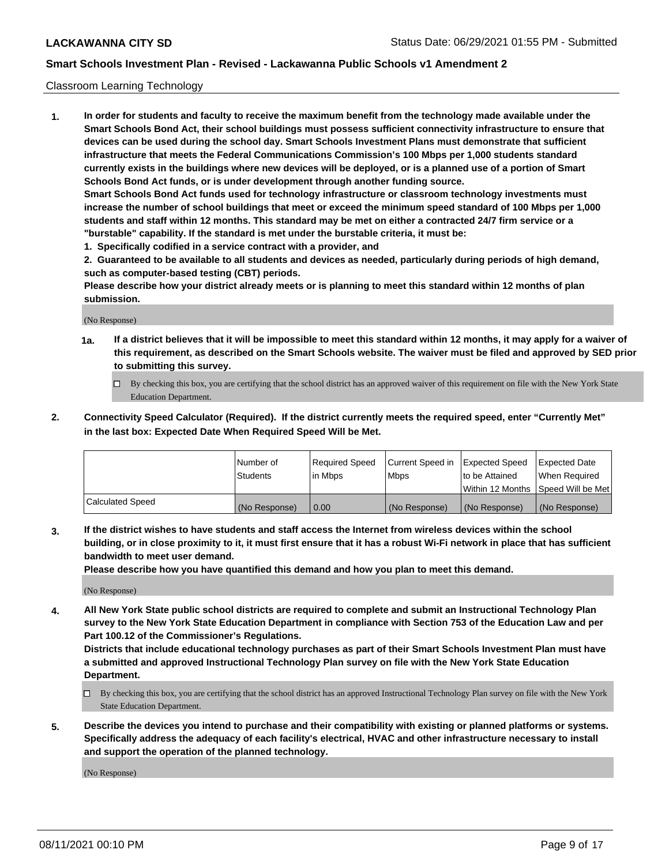#### Classroom Learning Technology

**1. In order for students and faculty to receive the maximum benefit from the technology made available under the Smart Schools Bond Act, their school buildings must possess sufficient connectivity infrastructure to ensure that devices can be used during the school day. Smart Schools Investment Plans must demonstrate that sufficient infrastructure that meets the Federal Communications Commission's 100 Mbps per 1,000 students standard currently exists in the buildings where new devices will be deployed, or is a planned use of a portion of Smart Schools Bond Act funds, or is under development through another funding source. Smart Schools Bond Act funds used for technology infrastructure or classroom technology investments must increase the number of school buildings that meet or exceed the minimum speed standard of 100 Mbps per 1,000 students and staff within 12 months. This standard may be met on either a contracted 24/7 firm service or a "burstable" capability. If the standard is met under the burstable criteria, it must be:**

**1. Specifically codified in a service contract with a provider, and**

**2. Guaranteed to be available to all students and devices as needed, particularly during periods of high demand, such as computer-based testing (CBT) periods.**

**Please describe how your district already meets or is planning to meet this standard within 12 months of plan submission.**

(No Response)

- **1a. If a district believes that it will be impossible to meet this standard within 12 months, it may apply for a waiver of this requirement, as described on the Smart Schools website. The waiver must be filed and approved by SED prior to submitting this survey.**
	- By checking this box, you are certifying that the school district has an approved waiver of this requirement on file with the New York State Education Department.
- **2. Connectivity Speed Calculator (Required). If the district currently meets the required speed, enter "Currently Met" in the last box: Expected Date When Required Speed Will be Met.**

|                  | l Number of     | Required Speed | Current Speed in | <b>Expected Speed</b> | <b>Expected Date</b>                |
|------------------|-----------------|----------------|------------------|-----------------------|-------------------------------------|
|                  | <b>Students</b> | l in Mbps      | l Mbps           | to be Attained        | When Required                       |
|                  |                 |                |                  |                       | Within 12 Months  Speed Will be Met |
| Calculated Speed | (No Response)   | 0.00           | (No Response)    | l (No Response)       | (No Response)                       |

**3. If the district wishes to have students and staff access the Internet from wireless devices within the school building, or in close proximity to it, it must first ensure that it has a robust Wi-Fi network in place that has sufficient bandwidth to meet user demand.**

**Please describe how you have quantified this demand and how you plan to meet this demand.**

(No Response)

**4. All New York State public school districts are required to complete and submit an Instructional Technology Plan survey to the New York State Education Department in compliance with Section 753 of the Education Law and per Part 100.12 of the Commissioner's Regulations.**

**Districts that include educational technology purchases as part of their Smart Schools Investment Plan must have a submitted and approved Instructional Technology Plan survey on file with the New York State Education Department.**

- By checking this box, you are certifying that the school district has an approved Instructional Technology Plan survey on file with the New York State Education Department.
- **5. Describe the devices you intend to purchase and their compatibility with existing or planned platforms or systems. Specifically address the adequacy of each facility's electrical, HVAC and other infrastructure necessary to install and support the operation of the planned technology.**

(No Response)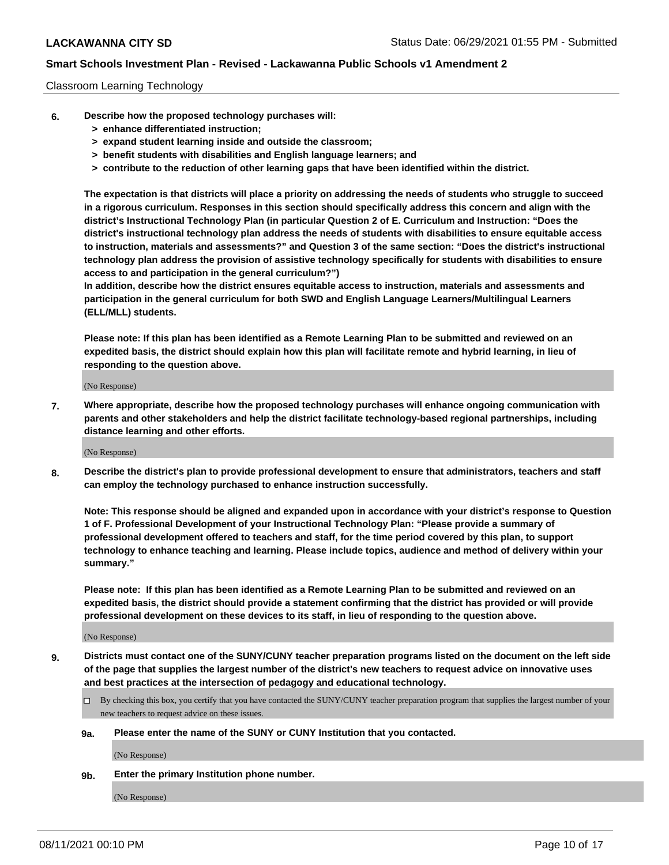#### Classroom Learning Technology

- **6. Describe how the proposed technology purchases will:**
	- **> enhance differentiated instruction;**
	- **> expand student learning inside and outside the classroom;**
	- **> benefit students with disabilities and English language learners; and**
	- **> contribute to the reduction of other learning gaps that have been identified within the district.**

**The expectation is that districts will place a priority on addressing the needs of students who struggle to succeed in a rigorous curriculum. Responses in this section should specifically address this concern and align with the district's Instructional Technology Plan (in particular Question 2 of E. Curriculum and Instruction: "Does the district's instructional technology plan address the needs of students with disabilities to ensure equitable access to instruction, materials and assessments?" and Question 3 of the same section: "Does the district's instructional technology plan address the provision of assistive technology specifically for students with disabilities to ensure access to and participation in the general curriculum?")**

**In addition, describe how the district ensures equitable access to instruction, materials and assessments and participation in the general curriculum for both SWD and English Language Learners/Multilingual Learners (ELL/MLL) students.**

**Please note: If this plan has been identified as a Remote Learning Plan to be submitted and reviewed on an expedited basis, the district should explain how this plan will facilitate remote and hybrid learning, in lieu of responding to the question above.**

(No Response)

**7. Where appropriate, describe how the proposed technology purchases will enhance ongoing communication with parents and other stakeholders and help the district facilitate technology-based regional partnerships, including distance learning and other efforts.**

(No Response)

**8. Describe the district's plan to provide professional development to ensure that administrators, teachers and staff can employ the technology purchased to enhance instruction successfully.**

**Note: This response should be aligned and expanded upon in accordance with your district's response to Question 1 of F. Professional Development of your Instructional Technology Plan: "Please provide a summary of professional development offered to teachers and staff, for the time period covered by this plan, to support technology to enhance teaching and learning. Please include topics, audience and method of delivery within your summary."**

**Please note: If this plan has been identified as a Remote Learning Plan to be submitted and reviewed on an expedited basis, the district should provide a statement confirming that the district has provided or will provide professional development on these devices to its staff, in lieu of responding to the question above.**

(No Response)

- **9. Districts must contact one of the SUNY/CUNY teacher preparation programs listed on the document on the left side of the page that supplies the largest number of the district's new teachers to request advice on innovative uses and best practices at the intersection of pedagogy and educational technology.**
	- $\Box$  By checking this box, you certify that you have contacted the SUNY/CUNY teacher preparation program that supplies the largest number of your new teachers to request advice on these issues.

#### **9a. Please enter the name of the SUNY or CUNY Institution that you contacted.**

(No Response)

**9b. Enter the primary Institution phone number.**

(No Response)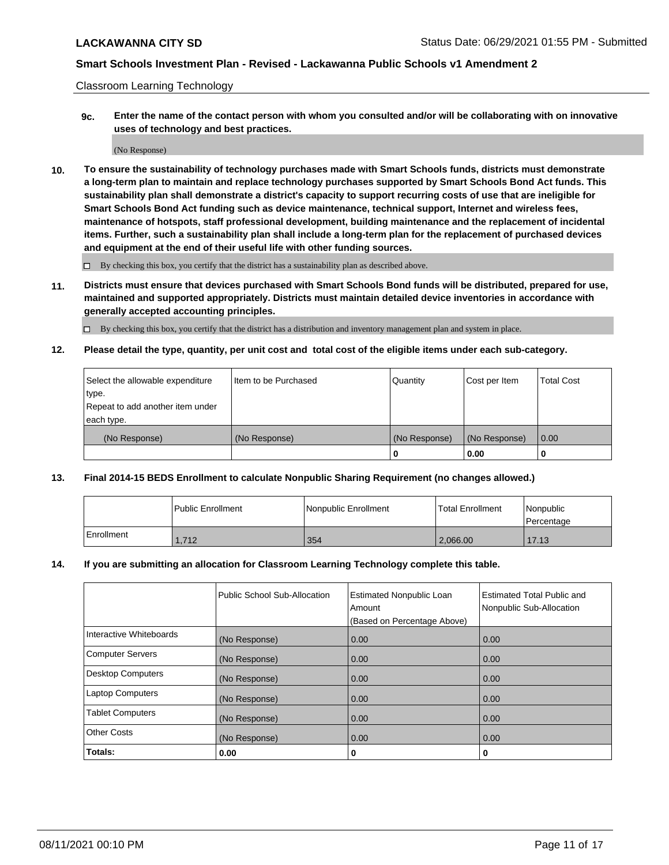Classroom Learning Technology

**9c. Enter the name of the contact person with whom you consulted and/or will be collaborating with on innovative uses of technology and best practices.**

(No Response)

**10. To ensure the sustainability of technology purchases made with Smart Schools funds, districts must demonstrate a long-term plan to maintain and replace technology purchases supported by Smart Schools Bond Act funds. This sustainability plan shall demonstrate a district's capacity to support recurring costs of use that are ineligible for Smart Schools Bond Act funding such as device maintenance, technical support, Internet and wireless fees, maintenance of hotspots, staff professional development, building maintenance and the replacement of incidental items. Further, such a sustainability plan shall include a long-term plan for the replacement of purchased devices and equipment at the end of their useful life with other funding sources.**

 $\square$  By checking this box, you certify that the district has a sustainability plan as described above.

**11. Districts must ensure that devices purchased with Smart Schools Bond funds will be distributed, prepared for use, maintained and supported appropriately. Districts must maintain detailed device inventories in accordance with generally accepted accounting principles.**

By checking this box, you certify that the district has a distribution and inventory management plan and system in place.

**12. Please detail the type, quantity, per unit cost and total cost of the eligible items under each sub-category.**

| Select the allowable expenditure | Item to be Purchased | Quantity      | Cost per Item | <b>Total Cost</b> |
|----------------------------------|----------------------|---------------|---------------|-------------------|
| type.                            |                      |               |               |                   |
| Repeat to add another item under |                      |               |               |                   |
| each type.                       |                      |               |               |                   |
| (No Response)                    | (No Response)        | (No Response) | (No Response) | $\overline{0.00}$ |
|                                  |                      |               | 0.00          |                   |

### **13. Final 2014-15 BEDS Enrollment to calculate Nonpublic Sharing Requirement (no changes allowed.)**

|            | Public Enrollment | Nonpublic Enrollment | <b>Total Enrollment</b> | <i>Nonpublic</i><br>l Percentage |
|------------|-------------------|----------------------|-------------------------|----------------------------------|
| Enrollment | 1.712             | 354                  | 2.066.00                | 17.13                            |

#### **14. If you are submitting an allocation for Classroom Learning Technology complete this table.**

|                          | Public School Sub-Allocation | <b>Estimated Nonpublic Loan</b><br>Amount | Estimated Total Public and<br>Nonpublic Sub-Allocation |  |
|--------------------------|------------------------------|-------------------------------------------|--------------------------------------------------------|--|
|                          |                              | (Based on Percentage Above)               |                                                        |  |
| Interactive Whiteboards  | (No Response)                | 0.00                                      | 0.00                                                   |  |
| <b>Computer Servers</b>  | (No Response)                | 0.00                                      | 0.00                                                   |  |
| <b>Desktop Computers</b> | (No Response)                | 0.00                                      | 0.00                                                   |  |
| <b>Laptop Computers</b>  | (No Response)                | 0.00                                      | 0.00                                                   |  |
| <b>Tablet Computers</b>  | (No Response)                | 0.00                                      | 0.00                                                   |  |
| <b>Other Costs</b>       | (No Response)                | 0.00                                      | 0.00                                                   |  |
| Totals:                  | 0.00                         | 0                                         | 0                                                      |  |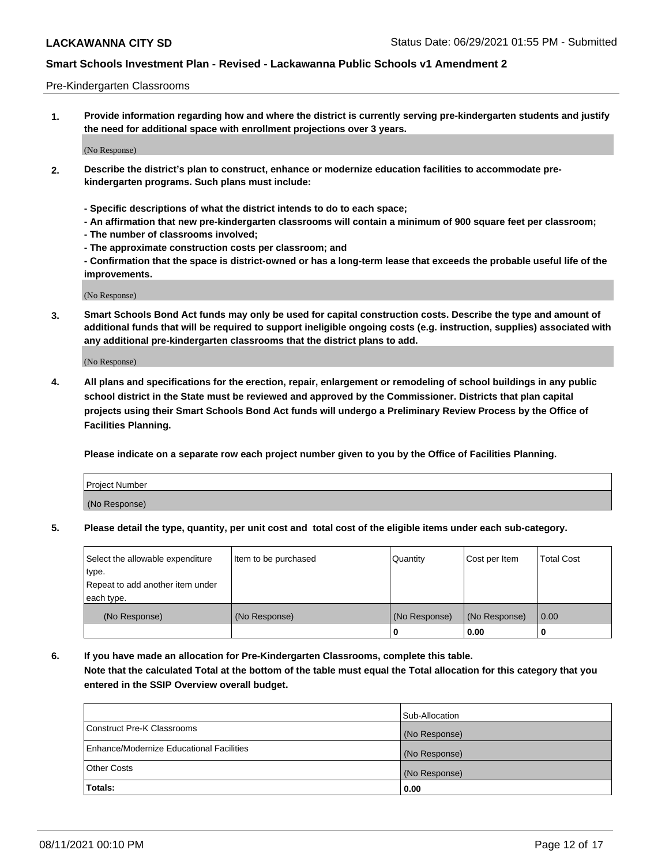#### Pre-Kindergarten Classrooms

**1. Provide information regarding how and where the district is currently serving pre-kindergarten students and justify the need for additional space with enrollment projections over 3 years.**

(No Response)

- **2. Describe the district's plan to construct, enhance or modernize education facilities to accommodate prekindergarten programs. Such plans must include:**
	- **Specific descriptions of what the district intends to do to each space;**
	- **An affirmation that new pre-kindergarten classrooms will contain a minimum of 900 square feet per classroom;**
	- **The number of classrooms involved;**
	- **The approximate construction costs per classroom; and**
	- **Confirmation that the space is district-owned or has a long-term lease that exceeds the probable useful life of the improvements.**

(No Response)

**3. Smart Schools Bond Act funds may only be used for capital construction costs. Describe the type and amount of additional funds that will be required to support ineligible ongoing costs (e.g. instruction, supplies) associated with any additional pre-kindergarten classrooms that the district plans to add.**

(No Response)

**4. All plans and specifications for the erection, repair, enlargement or remodeling of school buildings in any public school district in the State must be reviewed and approved by the Commissioner. Districts that plan capital projects using their Smart Schools Bond Act funds will undergo a Preliminary Review Process by the Office of Facilities Planning.**

**Please indicate on a separate row each project number given to you by the Office of Facilities Planning.**

| Project Number |  |
|----------------|--|
| (No Response)  |  |
|                |  |

**5. Please detail the type, quantity, per unit cost and total cost of the eligible items under each sub-category.**

| Select the allowable expenditure | Item to be purchased | Quantity      | Cost per Item | <b>Total Cost</b> |
|----------------------------------|----------------------|---------------|---------------|-------------------|
| type.                            |                      |               |               |                   |
| Repeat to add another item under |                      |               |               |                   |
| each type.                       |                      |               |               |                   |
| (No Response)                    | (No Response)        | (No Response) | (No Response) | 0.00              |
|                                  |                      | υ             | 0.00          |                   |

**6. If you have made an allocation for Pre-Kindergarten Classrooms, complete this table. Note that the calculated Total at the bottom of the table must equal the Total allocation for this category that you entered in the SSIP Overview overall budget.**

|                                          | Sub-Allocation |
|------------------------------------------|----------------|
| Construct Pre-K Classrooms               | (No Response)  |
| Enhance/Modernize Educational Facilities | (No Response)  |
| <b>Other Costs</b>                       | (No Response)  |
| Totals:                                  | 0.00           |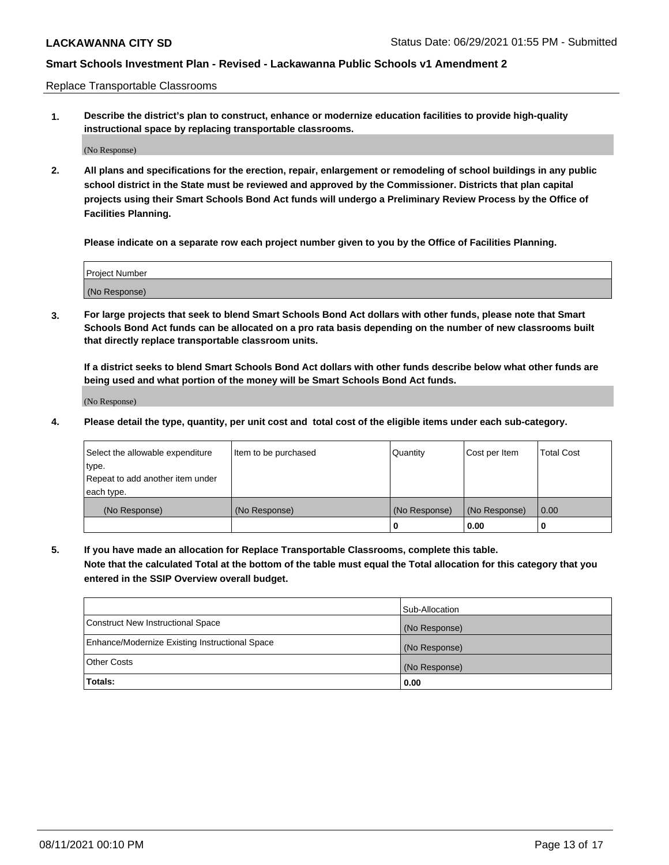Replace Transportable Classrooms

**1. Describe the district's plan to construct, enhance or modernize education facilities to provide high-quality instructional space by replacing transportable classrooms.**

(No Response)

**2. All plans and specifications for the erection, repair, enlargement or remodeling of school buildings in any public school district in the State must be reviewed and approved by the Commissioner. Districts that plan capital projects using their Smart Schools Bond Act funds will undergo a Preliminary Review Process by the Office of Facilities Planning.**

**Please indicate on a separate row each project number given to you by the Office of Facilities Planning.**

| Project Number |  |
|----------------|--|
|                |  |
| (No Response)  |  |

**3. For large projects that seek to blend Smart Schools Bond Act dollars with other funds, please note that Smart Schools Bond Act funds can be allocated on a pro rata basis depending on the number of new classrooms built that directly replace transportable classroom units.**

**If a district seeks to blend Smart Schools Bond Act dollars with other funds describe below what other funds are being used and what portion of the money will be Smart Schools Bond Act funds.**

(No Response)

**4. Please detail the type, quantity, per unit cost and total cost of the eligible items under each sub-category.**

| Select the allowable expenditure | Item to be purchased | Quantity      | Cost per Item | Total Cost |
|----------------------------------|----------------------|---------------|---------------|------------|
| ∣type.                           |                      |               |               |            |
| Repeat to add another item under |                      |               |               |            |
| each type.                       |                      |               |               |            |
| (No Response)                    | (No Response)        | (No Response) | (No Response) | 0.00       |
|                                  |                      | u             | 0.00          |            |

**5. If you have made an allocation for Replace Transportable Classrooms, complete this table. Note that the calculated Total at the bottom of the table must equal the Total allocation for this category that you entered in the SSIP Overview overall budget.**

|                                                | Sub-Allocation |
|------------------------------------------------|----------------|
| Construct New Instructional Space              | (No Response)  |
| Enhance/Modernize Existing Instructional Space | (No Response)  |
| Other Costs                                    | (No Response)  |
| Totals:                                        | 0.00           |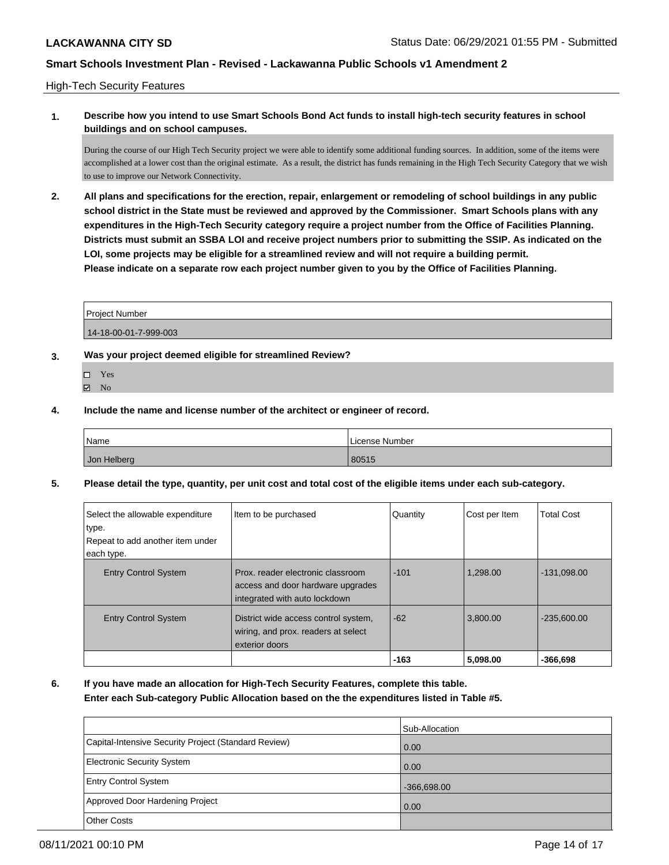#### High-Tech Security Features

### **1. Describe how you intend to use Smart Schools Bond Act funds to install high-tech security features in school buildings and on school campuses.**

During the course of our High Tech Security project we were able to identify some additional funding sources. In addition, some of the items were accomplished at a lower cost than the original estimate. As a result, the district has funds remaining in the High Tech Security Category that we wish to use to improve our Network Connectivity.

**2. All plans and specifications for the erection, repair, enlargement or remodeling of school buildings in any public school district in the State must be reviewed and approved by the Commissioner. Smart Schools plans with any expenditures in the High-Tech Security category require a project number from the Office of Facilities Planning. Districts must submit an SSBA LOI and receive project numbers prior to submitting the SSIP. As indicated on the LOI, some projects may be eligible for a streamlined review and will not require a building permit. Please indicate on a separate row each project number given to you by the Office of Facilities Planning.**

| <b>Project Number</b> |  |
|-----------------------|--|
| 14-18-00-01-7-999-003 |  |

### **3. Was your project deemed eligible for streamlined Review?**

- Yes
- **Z** No
- **4. Include the name and license number of the architect or engineer of record.**

| Name        | License Number |
|-------------|----------------|
| Jon Helberg | 80515          |

**5. Please detail the type, quantity, per unit cost and total cost of the eligible items under each sub-category.**

| Select the allowable expenditure<br>type.<br>Repeat to add another item under<br>each type. | Item to be purchased                                                                                    | Quantity | Cost per Item | <b>Total Cost</b> |
|---------------------------------------------------------------------------------------------|---------------------------------------------------------------------------------------------------------|----------|---------------|-------------------|
| <b>Entry Control System</b>                                                                 | Prox. reader electronic classroom<br>access and door hardware upgrades<br>integrated with auto lockdown | $-101$   | 1.298.00      | $-131,098.00$     |
| <b>Entry Control System</b>                                                                 | District wide access control system,<br>wiring, and prox. readers at select<br>exterior doors           | $-62$    | 3,800.00      | $-235,600.00$     |
|                                                                                             |                                                                                                         | $-163$   | 5,098.00      | $-366.698$        |

**6. If you have made an allocation for High-Tech Security Features, complete this table. Enter each Sub-category Public Allocation based on the the expenditures listed in Table #5.**

|                                                      | Sub-Allocation |
|------------------------------------------------------|----------------|
| Capital-Intensive Security Project (Standard Review) | 0.00           |
| Electronic Security System                           | 0.00           |
| <b>Entry Control System</b>                          | $-366,698.00$  |
| Approved Door Hardening Project                      | 0.00           |
| <b>Other Costs</b>                                   |                |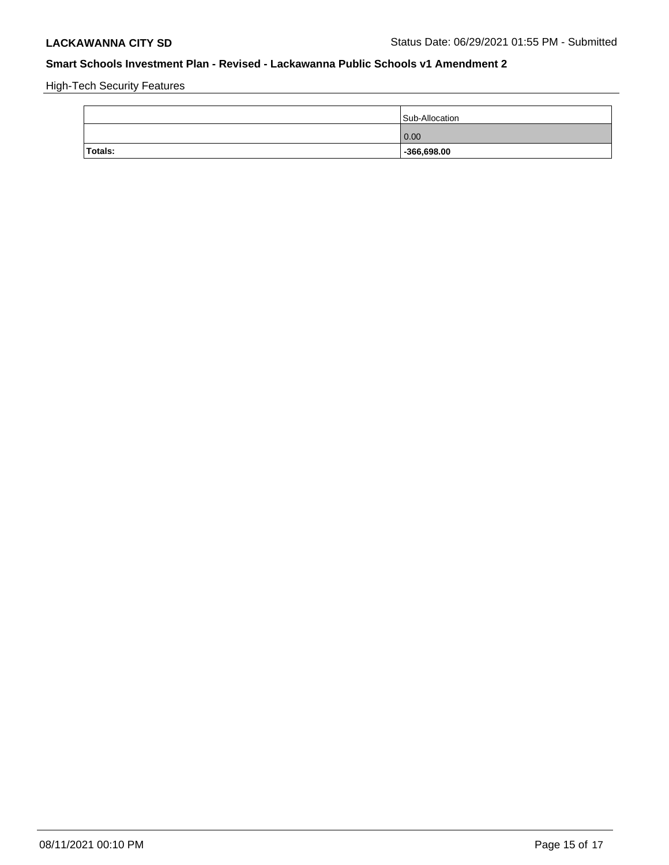High-Tech Security Features

|                | Sub-Allocation |
|----------------|----------------|
|                | 0.00           |
| <b>Totals:</b> | $-366,698.00$  |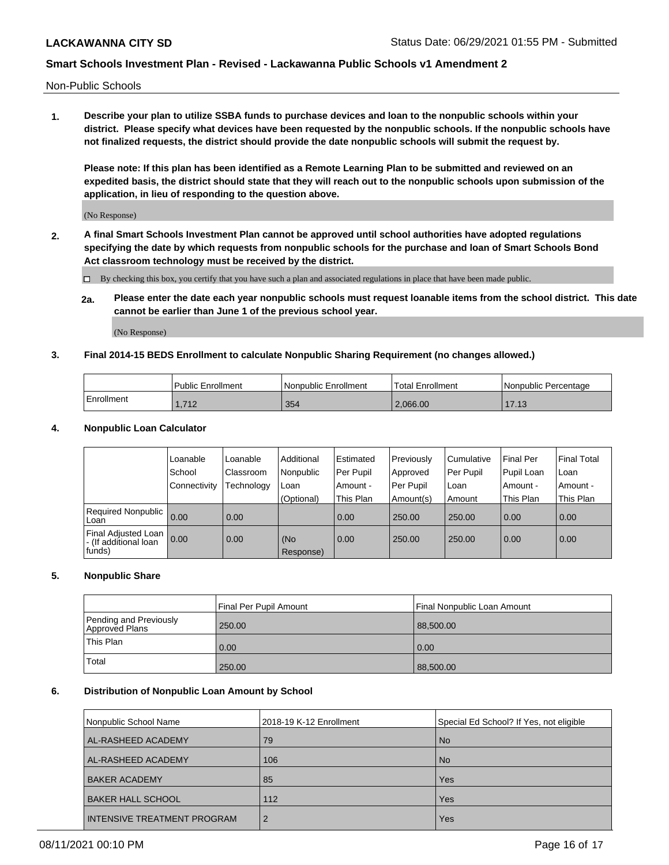Non-Public Schools

**1. Describe your plan to utilize SSBA funds to purchase devices and loan to the nonpublic schools within your district. Please specify what devices have been requested by the nonpublic schools. If the nonpublic schools have not finalized requests, the district should provide the date nonpublic schools will submit the request by.**

**Please note: If this plan has been identified as a Remote Learning Plan to be submitted and reviewed on an expedited basis, the district should state that they will reach out to the nonpublic schools upon submission of the application, in lieu of responding to the question above.**

(No Response)

**2. A final Smart Schools Investment Plan cannot be approved until school authorities have adopted regulations specifying the date by which requests from nonpublic schools for the purchase and loan of Smart Schools Bond Act classroom technology must be received by the district.**

By checking this box, you certify that you have such a plan and associated regulations in place that have been made public.

**2a. Please enter the date each year nonpublic schools must request loanable items from the school district. This date cannot be earlier than June 1 of the previous school year.**

(No Response)

### **3. Final 2014-15 BEDS Enrollment to calculate Nonpublic Sharing Requirement (no changes allowed.)**

|              | <b>Public Enrollment</b> | <b>Nonpublic Enrollment</b> | Total Enrollment | Nonpublic Percentage |
|--------------|--------------------------|-----------------------------|------------------|----------------------|
| l Enrollment | 740<br>1.112             | 354                         | 2.066.00         | 17.13                |

#### **4. Nonpublic Loan Calculator**

|                                                           | Loanable       | Loanable   | Additional       | l Estimated | Previously       | Cumulative | <b>Final Per</b> | <b>Final Total</b> |
|-----------------------------------------------------------|----------------|------------|------------------|-------------|------------------|------------|------------------|--------------------|
|                                                           | School         | Classroom  | Nonpublic        | Per Pupil   | Approved         | Per Pupil  | Pupil Loan       | Loan               |
|                                                           | l Connectivitv | Technology | Loan             | Amount -    | <b>Per Pupil</b> | Loan       | Amount -         | Amount -           |
|                                                           |                |            | (Optional)       | This Plan   | Amount(s)        | Amount     | This Plan        | This Plan          |
| Required Nonpublic<br>Loan                                | 0.00           | 0.00       |                  | 0.00        | 250.00           | 250.00     | 0.00             | 0.00               |
| Final Adjusted Loan  <br>- (If additional loan<br> funds) | 0.00           | 0.00       | (No<br>Response) | 0.00        | 250.00           | 250.00     | 0.00             | 0.00               |

#### **5. Nonpublic Share**

|                                          | Final Per Pupil Amount | Final Nonpublic Loan Amount |
|------------------------------------------|------------------------|-----------------------------|
| Pending and Previously<br>Approved Plans | 250.00                 | 88,500.00                   |
| <b>This Plan</b>                         | 0.00                   | 0.00                        |
| Total                                    | 250.00                 | 88,500.00                   |

### **6. Distribution of Nonpublic Loan Amount by School**

| Nonpublic School Name              | 2018-19 K-12 Enrollment | Special Ed School? If Yes, not eligible |
|------------------------------------|-------------------------|-----------------------------------------|
| AL-RASHEED ACADEMY                 | 79                      | <b>No</b>                               |
| AL-RASHEED ACADEMY                 | 106                     | <b>No</b>                               |
| <b>BAKER ACADEMY</b>               | 85                      | Yes                                     |
| <b>BAKER HALL SCHOOL</b>           | 112                     | Yes                                     |
| <b>INTENSIVE TREATMENT PROGRAM</b> | $\overline{2}$          | Yes                                     |